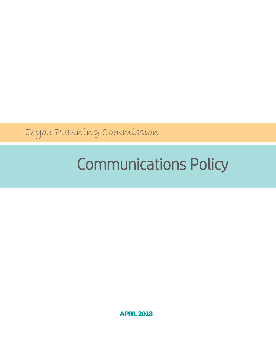Eeyou Planning Commission

# Communications Policy

**APRIL 2018**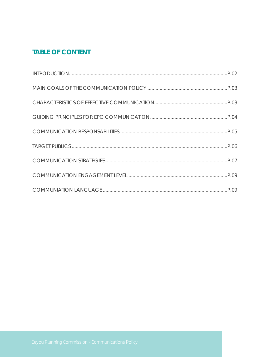# **TABLE OF CONTENT**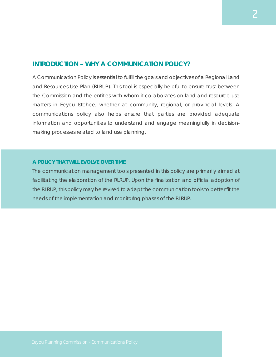### **INTRODUCTION – WHY A COMMUNICATION POLICY?**

A Communication Policy is essential to fulfill the goals and objectives of a Regional Land and Resources Use Plan (RLRUP). This tool is especially helpful to ensure trust between the Commission and the entities with whom it collaborates on land and resource use matters in Eeyou Istchee, whether at community, regional, or provincial levels. A communications policy also helps ensure that parties are provided adequate information and opportunities to understand and engage meaningfully in decisionmaking processes related to land use planning.

#### **A POLICY THAT WILL EVOLVE OVER TIME**

The communication management tools presented in this policy are primarily aimed at facilitating the elaboration of the RLRUP. Upon the finalization and official adoption of the RLRUP, this policy may be revised to adapt the communication tools to better fit the needs of the implementation and monitoring phases of the RLRUP.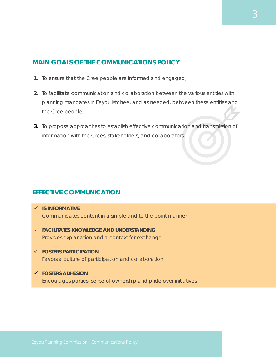## **MAIN GOALS OF THE COMMUNICATIONS POLICY**

- **1.** To ensure that the Cree people are informed and engaged;
- **2.** To facilitate communication and collaboration between the various entities with planning mandates in Eeyou Istchee, and as needed, between these entities and the Cree people;
- **3.** To propose approaches to establish effective communication and transmission of information with the Crees, stakeholders, and collaborators.

# **EFFECTIVE COMMUNICATION**

- **IS INFORMATIVE** Communicates content in a simple and to the point manner
- **FACILITATES KNOWLEDGE AND UNDERSTANDING** Provides explanation and a context for exchange
- **FOSTERS PARTICIPATION** Favors a culture of participation and collaboration
- **FOSTERS ADHESION** Encourages parties' sense of ownership and pride over initiatives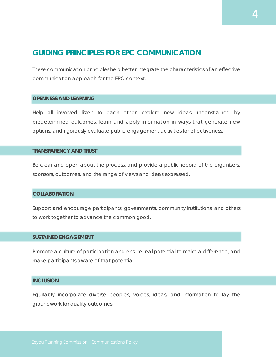# **GUIDING PRINCIPLES FOR EPC COMMUNICATION**

These communication principles help better integrate the characteristics of an effective communication approach for the EPC context.

#### **OPENNESS AND LEARNING**

Help all involved listen to each other, explore new ideas unconstrained by predetermined outcomes, learn and apply information in ways that generate new options, and rigorously evaluate public engagement activities for effectiveness.

#### **TRANSPARENCY AND TRUST**

Be clear and open about the process, and provide a public record of the organizers, sponsors, outcomes, and the range of views and ideas expressed.

#### **COLLABORATION**

Support and encourage participants, governments, community institutions, and others to work together to advance the common good.

#### **SUSTAINED ENGAGEMENT**

Promote a culture of participation and ensure real potential to make a difference, and make participants aware of that potential.

#### **INCLUSION**

Equitably incorporate diverse peoples, voices, ideas, and information to lay the groundwork for quality outcomes.

4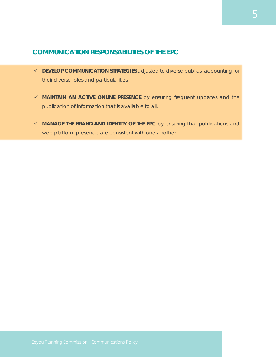## **COMMUNICATION RESPONSABILITIES OF THE EPC**

- **DEVELOP COMMUNICATION STRATEGIES** adjusted to diverse publics, accounting for their diverse roles and particularities
- **MAINTAIN AN ACTIVE ONLINE PRESENCE** by ensuring frequent updates and the publication of information that is available to all.
- **MANAGE THE BRAND AND IDENTITY OF THE EPC** by ensuring that publications and web platform presence are consistent with one another.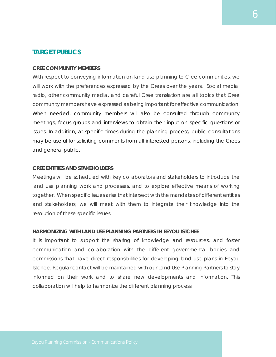## **TARGET PUBLICS**

#### **CREE COMMUNITY MEMBERS**

With respect to conveying information on land use planning to Cree communities, we will work with the preferences expressed by the Crees over the years. Social media, radio, other community media, and careful Cree translation are all topics that Cree community members have expressed as being important for effective communication. When needed, community members will also be consulted through community meetings, focus groups and interviews to obtain their input on specific questions or issues. In addition, at specific times during the planning process, public consultations may be useful for soliciting comments from all interested persons, including the Crees and general public.

#### **CREE ENTITIES AND STAKEHOLDERS**

Meetings will be scheduled with key collaborators and stakeholders to introduce the land use planning work and processes, and to explore effective means of working together. When specific issues arise that intersect with the mandates of different entities and stakeholders, we will meet with them to integrate their knowledge into the resolution of these specific issues.

#### **HARMONIZING WITH LAND USE PLANNING PARTNERS IN EEYOU ISTCHEE**

It is important to support the sharing of knowledge and resources, and foster communication and collaboration with the different governmental bodies and commissions that have direct responsibilities for developing land use plans in Eeyou Istchee. Regular contact will be maintained with our Land Use Planning Partners to stay informed on their work and to share new developments and information. This collaboration will help to harmonize the different planning process.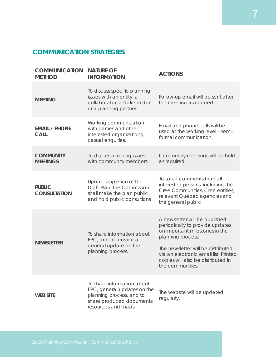# **COMMUNICATION STRATEGIES**

| <b>COMMUNICATION</b><br><b>METHOD</b> | <b>NATURE OF</b><br><b>INFORMATION</b>                                                                                                    | <b>ACTIONS</b>                                                                                                                                                                                                                                                    |
|---------------------------------------|-------------------------------------------------------------------------------------------------------------------------------------------|-------------------------------------------------------------------------------------------------------------------------------------------------------------------------------------------------------------------------------------------------------------------|
| <b>MEETING</b>                        | To discuss specific planning<br>issues with an entity, a<br>collaborator, a stakeholder<br>or a planning partner                          | Follow-up email will be sent after<br>the meeting as needed                                                                                                                                                                                                       |
| <b>EMAIL / PHONE</b><br><b>CALL</b>   | Working communication<br>with parties and other<br>interested organizations,<br>casual enquiries.                                         | Email and phone calls will be<br>used at the working level - semi-<br>formal communication.                                                                                                                                                                       |
| <b>COMMUNITY</b><br><b>MEETINGS</b>   | To discuss planning issues<br>with community members                                                                                      | Community meetings will be held<br>as required                                                                                                                                                                                                                    |
| <b>PUBLIC</b><br><b>CONSULTATION</b>  | Upon completion of the<br>Draft Plan, the Commission<br>shall make the plan public<br>and hold public consultions                         | To solicit comments from all<br>interested persons, including the<br>Cree Communities, Cree entities,<br>relevant Québec agencies and<br>the general public                                                                                                       |
| <b>NEWSLETTER</b>                     | To share information about<br>EPC, and to provide a<br>general update on the<br>planning process.                                         | A newsletter will be published<br>periodically to provide updates<br>on important milestones in the<br>planning process.<br>The newsletter will be distributed<br>via an electronic email list. Printed<br>copies will also be distributed in<br>the communities. |
| <b>WEB SITE</b>                       | To share information about<br>EPC, general updates on the<br>planning process, and to<br>share produced documents,<br>resources and maps. | The website will be updated<br>regularly.                                                                                                                                                                                                                         |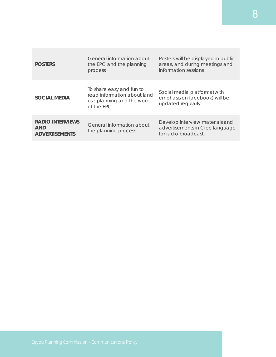| <b>POSTERS</b>                                                 | General information about<br>the EPC and the planning<br>process                                   | Posters will be displayed in public<br>areas, and during meetings and<br>information sessions |
|----------------------------------------------------------------|----------------------------------------------------------------------------------------------------|-----------------------------------------------------------------------------------------------|
| <b>SOCIAL MEDIA</b>                                            | To share easy and fun to<br>read information about land<br>use planning and the work<br>of the FPC | Social media platforms (with<br>emphasis on facebook) will be<br>updated regularly.           |
| <b>RADIO INTERVIEWS</b><br><b>AND</b><br><b>ADVERTISEMENTS</b> | General information about<br>the planning process                                                  | Develop interview materials and<br>advertisements in Cree language<br>for radio broadcast.    |